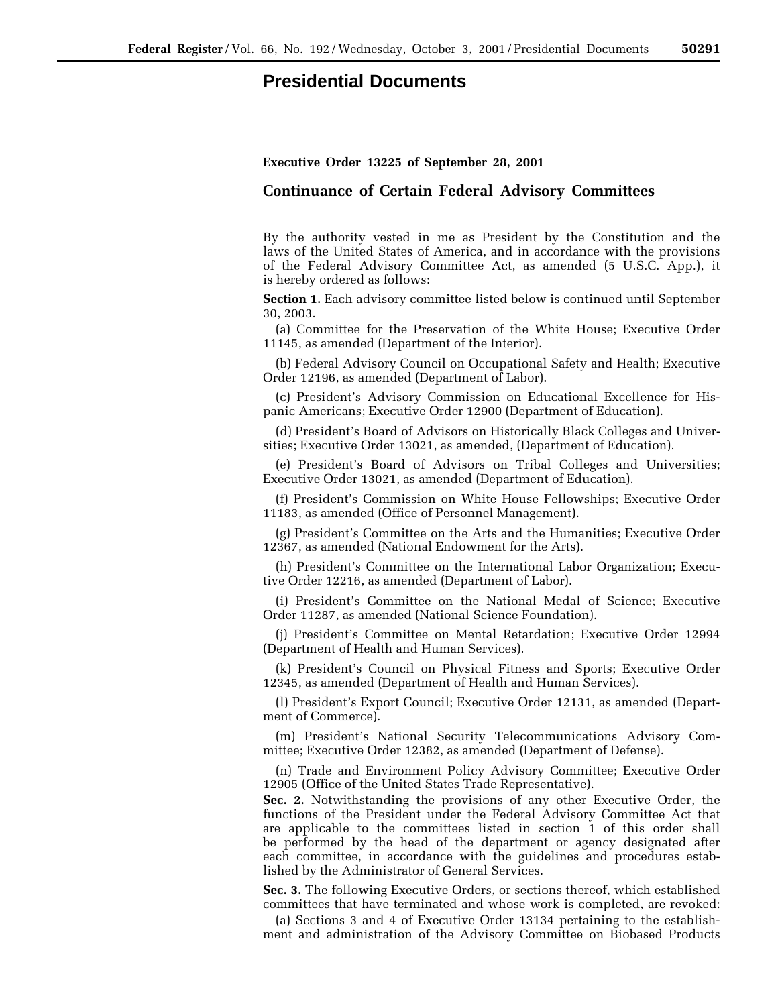## **Presidential Documents**

## **Executive Order 13225 of September 28, 2001**

## **Continuance of Certain Federal Advisory Committees**

By the authority vested in me as President by the Constitution and the laws of the United States of America, and in accordance with the provisions of the Federal Advisory Committee Act, as amended (5 U.S.C. App.), it is hereby ordered as follows:

**Section 1.** Each advisory committee listed below is continued until September 30, 2003.

(a) Committee for the Preservation of the White House; Executive Order 11145, as amended (Department of the Interior).

(b) Federal Advisory Council on Occupational Safety and Health; Executive Order 12196, as amended (Department of Labor).

(c) President's Advisory Commission on Educational Excellence for Hispanic Americans; Executive Order 12900 (Department of Education).

(d) President's Board of Advisors on Historically Black Colleges and Universities; Executive Order 13021, as amended, (Department of Education).

(e) President's Board of Advisors on Tribal Colleges and Universities; Executive Order 13021, as amended (Department of Education).

(f) President's Commission on White House Fellowships; Executive Order 11183, as amended (Office of Personnel Management).

(g) President's Committee on the Arts and the Humanities; Executive Order 12367, as amended (National Endowment for the Arts).

(h) President's Committee on the International Labor Organization; Executive Order 12216, as amended (Department of Labor).

(i) President's Committee on the National Medal of Science; Executive Order 11287, as amended (National Science Foundation).

(j) President's Committee on Mental Retardation; Executive Order 12994 (Department of Health and Human Services).

(k) President's Council on Physical Fitness and Sports; Executive Order 12345, as amended (Department of Health and Human Services).

(l) President's Export Council; Executive Order 12131, as amended (Department of Commerce).

(m) President's National Security Telecommunications Advisory Committee; Executive Order 12382, as amended (Department of Defense).

(n) Trade and Environment Policy Advisory Committee; Executive Order 12905 (Office of the United States Trade Representative).

**Sec. 2.** Notwithstanding the provisions of any other Executive Order, the functions of the President under the Federal Advisory Committee Act that are applicable to the committees listed in section 1 of this order shall be performed by the head of the department or agency designated after each committee, in accordance with the guidelines and procedures established by the Administrator of General Services.

**Sec. 3.** The following Executive Orders, or sections thereof, which established committees that have terminated and whose work is completed, are revoked:

(a) Sections 3 and 4 of Executive Order 13134 pertaining to the establishment and administration of the Advisory Committee on Biobased Products